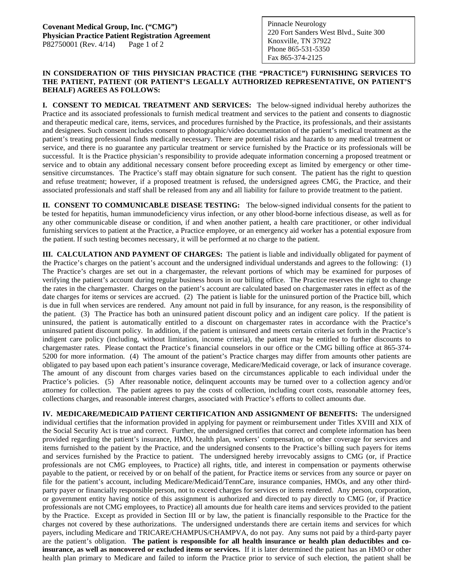## **IN CONSIDERATION OF THIS PHYSICIAN PRACTICE (THE "PRACTICE") FURNISHING SERVICES TO THE PATIENT, PATIENT (OR PATIENT'S LEGALLY AUTHORIZED REPRESENTATIVE, ON PATIENT'S BEHALF) AGREES AS FOLLOWS:**

**I. CONSENT TO MEDICAL TREATMENT AND SERVICES:** The below-signed individual hereby authorizes the Practice and its associated professionals to furnish medical treatment and services to the patient and consents to diagnostic and therapeutic medical care, items, services, and procedures furnished by the Practice, its professionals, and their assistants and designees. Such consent includes consent to photographic/video documentation of the patient's medical treatment as the patient's treating professional finds medically necessary. There are potential risks and hazards to any medical treatment or service, and there is no guarantee any particular treatment or service furnished by the Practice or its professionals will be successful. It is the Practice physician's responsibility to provide adequate information concerning a proposed treatment or service and to obtain any additional necessary consent before proceeding except as limited by emergency or other timesensitive circumstances. The Practice's staff may obtain signature for such consent. The patient has the right to question and refuse treatment; however, if a proposed treatment is refused, the undersigned agrees CMG, the Practice, and their associated professionals and staff shall be released from any and all liability for failure to provide treatment to the patient.

**II. CONSENT TO COMMUNICABLE DISEASE TESTING:** The below-signed individual consents for the patient to be tested for hepatitis, human immunodeficiency virus infection, or any other blood-borne infectious disease, as well as for any other communicable disease or condition, if and when another patient, a health care practitioner, or other individual furnishing services to patient at the Practice, a Practice employee, or an emergency aid worker has a potential exposure from the patient. If such testing becomes necessary, it will be performed at no charge to the patient.

**III. CALCULATION AND PAYMENT OF CHARGES:** The patient is liable and individually obligated for payment of the Practice's charges on the patient's account and the undersigned individual understands and agrees to the following: (1) The Practice's charges are set out in a chargemaster, the relevant portions of which may be examined for purposes of verifying the patient's account during regular business hours in our billing office. The Practice reserves the right to change the rates in the chargemaster. Charges on the patient's account are calculated based on chargemaster rates in effect as of the date charges for items or services are accrued. (2) The patient is liable for the uninsured portion of the Practice bill, which is due in full when services are rendered. Any amount not paid in full by insurance, for any reason, is the responsibility of the patient. (3) The Practice has both an uninsured patient discount policy and an indigent care policy. If the patient is uninsured, the patient is automatically entitled to a discount on chargemaster rates in accordance with the Practice's uninsured patient discount policy. In addition, if the patient is uninsured and meets certain criteria set forth in the Practice's indigent care policy (including, without limitation, income criteria), the patient may be entitled to further discounts to chargemaster rates. Please contact the Practice's financial counselors in our office or the CMG billing office at 865-374- 5200 for more information. (4) The amount of the patient's Practice charges may differ from amounts other patients are obligated to pay based upon each patient's insurance coverage, Medicare/Medicaid coverage, or lack of insurance coverage. The amount of any discount from charges varies based on the circumstances applicable to each individual under the Practice's policies. (5) After reasonable notice, delinquent accounts may be turned over to a collection agency and/or attorney for collection. The patient agrees to pay the costs of collection, including court costs, reasonable attorney fees, collections charges, and reasonable interest charges, associated with Practice's efforts to collect amounts due.

**IV. MEDICARE/MEDICAID PATIENT CERTIFICATION AND ASSIGNMENT OF BENEFITS:** The undersigned individual certifies that the information provided in applying for payment or reimbursement under Titles XVIII and XIX of the Social Security Act is true and correct. Further, the undersigned certifies that correct and complete information has been provided regarding the patient's insurance, HMO, health plan, workers' compensation, or other coverage for services and items furnished to the patient by the Practice, and the undersigned consents to the Practice's billing such payers for items and services furnished by the Practice to patient. The undersigned hereby irrevocably assigns to CMG (or, if Practice professionals are not CMG employees, to Practice) all rights, title, and interest in compensation or payments otherwise payable to the patient, or received by or on behalf of the patient, for Practice items or services from any source or payer on file for the patient's account, including Medicare/Medicaid/TennCare, insurance companies, HMOs, and any other thirdparty payer or financially responsible person, not to exceed charges for services or items rendered. Any person, corporation, or government entity having notice of this assignment is authorized and directed to pay directly to CMG (or, if Practice professionals are not CMG employees, to Practice) all amounts due for health care items and services provided to the patient by the Practice. Except as provided in Section III or by law, the patient is financially responsible to the Practice for the charges not covered by these authorizations. The undersigned understands there are certain items and services for which payers, including Medicare and TRICARE/CHAMPUS/CHAMPVA, do not pay. Any sums not paid by a third-party payer are the patient's obligation. **The patient is responsible for all health insurance or health plan deductibles and coinsurance, as well as noncovered or excluded items or services.** If it is later determined the patient has an HMO or other health plan primary to Medicare and failed to inform the Practice prior to service of such election, the patient shall be